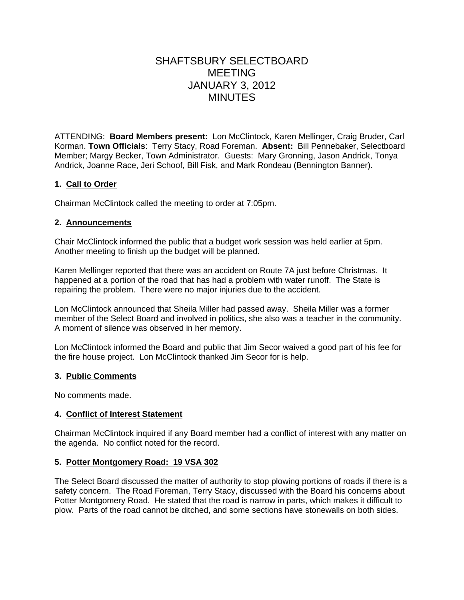# SHAFTSBURY SELECTBOARD MEETING JANUARY 3, 2012 MINUTES

ATTENDING: **Board Members present:** Lon McClintock, Karen Mellinger, Craig Bruder, Carl Korman. **Town Officials**: Terry Stacy, Road Foreman. **Absent:** Bill Pennebaker, Selectboard Member; Margy Becker, Town Administrator. Guests: Mary Gronning, Jason Andrick, Tonya Andrick, Joanne Race, Jeri Schoof, Bill Fisk, and Mark Rondeau (Bennington Banner).

### **1. Call to Order**

Chairman McClintock called the meeting to order at 7:05pm.

### **2. Announcements**

Chair McClintock informed the public that a budget work session was held earlier at 5pm. Another meeting to finish up the budget will be planned.

Karen Mellinger reported that there was an accident on Route 7A just before Christmas. It happened at a portion of the road that has had a problem with water runoff. The State is repairing the problem. There were no major injuries due to the accident.

Lon McClintock announced that Sheila Miller had passed away. Sheila Miller was a former member of the Select Board and involved in politics, she also was a teacher in the community. A moment of silence was observed in her memory.

Lon McClintock informed the Board and public that Jim Secor waived a good part of his fee for the fire house project. Lon McClintock thanked Jim Secor for is help.

#### **3. Public Comments**

No comments made.

### **4. Conflict of Interest Statement**

Chairman McClintock inquired if any Board member had a conflict of interest with any matter on the agenda. No conflict noted for the record.

### **5. Potter Montgomery Road: 19 VSA 302**

The Select Board discussed the matter of authority to stop plowing portions of roads if there is a safety concern. The Road Foreman, Terry Stacy, discussed with the Board his concerns about Potter Montgomery Road. He stated that the road is narrow in parts, which makes it difficult to plow. Parts of the road cannot be ditched, and some sections have stonewalls on both sides.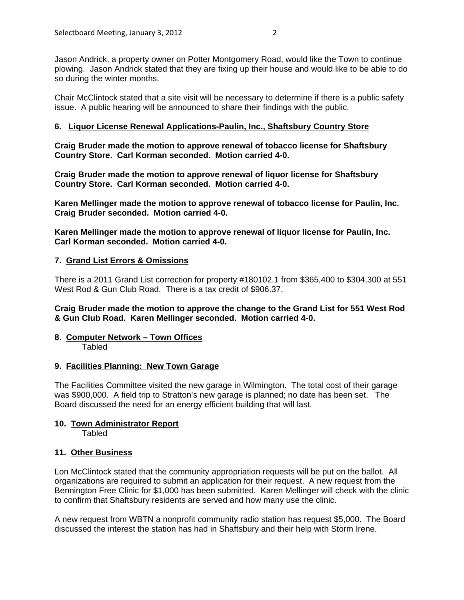Jason Andrick, a property owner on Potter Montgomery Road, would like the Town to continue plowing. Jason Andrick stated that they are fixing up their house and would like to be able to do so during the winter months.

Chair McClintock stated that a site visit will be necessary to determine if there is a public safety issue. A public hearing will be announced to share their findings with the public.

### **6. Liquor License Renewal Applications-Paulin, Inc., Shaftsbury Country Store**

**Craig Bruder made the motion to approve renewal of tobacco license for Shaftsbury Country Store. Carl Korman seconded. Motion carried 4-0.**

**Craig Bruder made the motion to approve renewal of liquor license for Shaftsbury Country Store. Carl Korman seconded. Motion carried 4-0.**

**Karen Mellinger made the motion to approve renewal of tobacco license for Paulin, Inc. Craig Bruder seconded. Motion carried 4-0.**

**Karen Mellinger made the motion to approve renewal of liquor license for Paulin, Inc. Carl Korman seconded. Motion carried 4-0.**

### **7. Grand List Errors & Omissions**

There is a 2011 Grand List correction for property #180102.1 from \$365,400 to \$304,300 at 551 West Rod & Gun Club Road. There is a tax credit of \$906.37.

**Craig Bruder made the motion to approve the change to the Grand List for 551 West Rod & Gun Club Road. Karen Mellinger seconded. Motion carried 4-0.**

#### **8. Computer Network – Town Offices** Tabled

### **9. Facilities Planning: New Town Garage**

The Facilities Committee visited the new garage in Wilmington. The total cost of their garage was \$900,000. A field trip to Stratton's new garage is planned; no date has been set. The Board discussed the need for an energy efficient building that will last.

## **10. Town Administrator Report**

Tabled

### **11. Other Business**

Lon McClintock stated that the community appropriation requests will be put on the ballot. All organizations are required to submit an application for their request. A new request from the Bennington Free Clinic for \$1,000 has been submitted. Karen Mellinger will check with the clinic to confirm that Shaftsbury residents are served and how many use the clinic.

A new request from WBTN a nonprofit community radio station has request \$5,000. The Board discussed the interest the station has had in Shaftsbury and their help with Storm Irene.